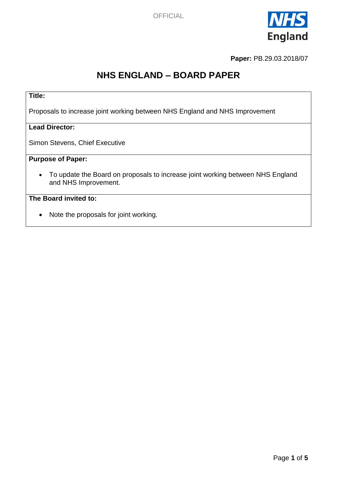

**Paper:** PB.29.03.2018/07

# **NHS ENGLAND – BOARD PAPER**

# **Title:**

Proposals to increase joint working between NHS England and NHS Improvement

#### **Lead Director:**

Simon Stevens, Chief Executive

# **Purpose of Paper:**

 To update the Board on proposals to increase joint working between NHS England and NHS Improvement.

# **The Board invited to:**

• Note the proposals for joint working.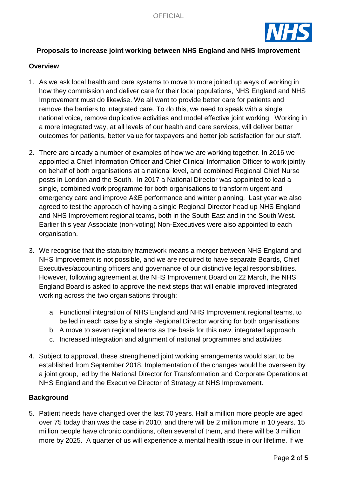

## **Proposals to increase joint working between NHS England and NHS Improvement**

#### **Overview**

- 1. As we ask local health and care systems to move to more joined up ways of working in how they commission and deliver care for their local populations, NHS England and NHS Improvement must do likewise. We all want to provide better care for patients and remove the barriers to integrated care. To do this, we need to speak with a single national voice, remove duplicative activities and model effective joint working. Working in a more integrated way, at all levels of our health and care services, will deliver better outcomes for patients, better value for taxpayers and better job satisfaction for our staff.
- 2. There are already a number of examples of how we are working together. In 2016 we appointed a Chief Information Officer and Chief Clinical Information Officer to work jointly on behalf of both organisations at a national level, and combined Regional Chief Nurse posts in London and the South. In 2017 a National Director was appointed to lead a single, combined work programme for both organisations to transform urgent and emergency care and improve A&E performance and winter planning. Last year we also agreed to test the approach of having a single Regional Director head up NHS England and NHS Improvement regional teams, both in the South East and in the South West. Earlier this year Associate (non-voting) Non-Executives were also appointed to each organisation.
- 3. We recognise that the statutory framework means a merger between NHS England and NHS Improvement is not possible, and we are required to have separate Boards, Chief Executives/accounting officers and governance of our distinctive legal responsibilities. However, following agreement at the NHS Improvement Board on 22 March, the NHS England Board is asked to approve the next steps that will enable improved integrated working across the two organisations through:
	- a. Functional integration of NHS England and NHS Improvement regional teams, to be led in each case by a single Regional Director working for both organisations
	- b. A move to seven regional teams as the basis for this new, integrated approach
	- c. Increased integration and alignment of national programmes and activities
- 4. Subject to approval, these strengthened joint working arrangements would start to be established from September 2018. Implementation of the changes would be overseen by a joint group, led by the National Director for Transformation and Corporate Operations at NHS England and the Executive Director of Strategy at NHS Improvement.

## **Background**

5. Patient needs have changed over the last 70 years. Half a million more people are aged over 75 today than was the case in 2010, and there will be 2 million more in 10 years. 15 million people have chronic conditions, often several of them, and there will be 3 million more by 2025. A quarter of us will experience a mental health issue in our lifetime. If we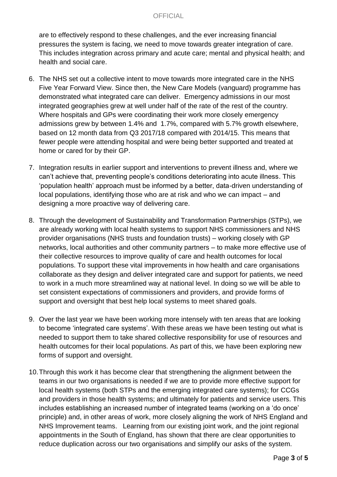### **OFFICIAL**

are to effectively respond to these challenges, and the ever increasing financial pressures the system is facing, we need to move towards greater integration of care. This includes integration across primary and acute care; mental and physical health; and health and social care.

- 6. The NHS set out a collective intent to move towards more integrated care in the NHS Five Year Forward View. Since then, the New Care Models (vanguard) programme has demonstrated what integrated care can deliver. Emergency admissions in our most integrated geographies grew at well under half of the rate of the rest of the country. Where hospitals and GPs were coordinating their work more closely emergency admissions grew by between 1.4% and 1.7%, compared with 5.7% growth elsewhere, based on 12 month data from Q3 2017/18 compared with 2014/15. This means that fewer people were attending hospital and were being better supported and treated at home or cared for by their GP.
- 7. Integration results in earlier support and interventions to prevent illness and, where we can't achieve that, preventing people's conditions deteriorating into acute illness. This 'population health' approach must be informed by a better, data-driven understanding of local populations, identifying those who are at risk and who we can impact – and designing a more proactive way of delivering care.
- 8. Through the development of Sustainability and Transformation Partnerships (STPs), we are already working with local health systems to support NHS commissioners and NHS provider organisations (NHS trusts and foundation trusts) – working closely with GP networks, local authorities and other community partners – to make more effective use of their collective resources to improve quality of care and health outcomes for local populations. To support these vital improvements in how health and care organisations collaborate as they design and deliver integrated care and support for patients, we need to work in a much more streamlined way at national level. In doing so we will be able to set consistent expectations of commissioners and providers, and provide forms of support and oversight that best help local systems to meet shared goals.
- 9. Over the last year we have been working more intensely with ten areas that are looking to become 'integrated care systems'. With these areas we have been testing out what is needed to support them to take shared collective responsibility for use of resources and health outcomes for their local populations. As part of this, we have been exploring new forms of support and oversight.
- 10.Through this work it has become clear that strengthening the alignment between the teams in our two organisations is needed if we are to provide more effective support for local health systems (both STPs and the emerging integrated care systems); for CCGs and providers in those health systems; and ultimately for patients and service users. This includes establishing an increased number of integrated teams (working on a 'do once' principle) and, in other areas of work, more closely aligning the work of NHS England and NHS Improvement teams. Learning from our existing joint work, and the joint regional appointments in the South of England, has shown that there are clear opportunities to reduce duplication across our two organisations and simplify our asks of the system.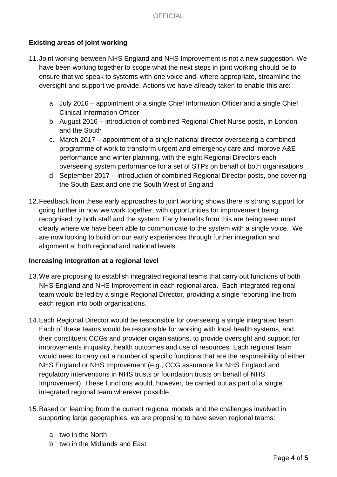# **Existing areas of joint working**

- 11.Joint working between NHS England and NHS Improvement is not a new suggestion. We have been working together to scope what the next steps in joint working should be to ensure that we speak to systems with one voice and, where appropriate, streamline the oversight and support we provide. Actions we have already taken to enable this are:
	- a. July 2016 appointment of a single Chief Information Officer and a single Chief Clinical Information Officer
	- b. August 2016 introduction of combined Regional Chief Nurse posts, in London and the South
	- c. March 2017 appointment of a single national director overseeing a combined programme of work to transform urgent and emergency care and improve A&E performance and winter planning, with the eight Regional Directors each overseeing system performance for a set of STPs on behalf of both organisations
	- d. September 2017 introduction of combined Regional Director posts, one covering the South East and one the South West of England
- 12.Feedback from these early approaches to joint working shows there is strong support for going further in how we work together, with opportunities for improvement being recognised by both staff and the system. Early benefits from this are being seen most clearly where we have been able to communicate to the system with a single voice. We are now looking to build on our early experiences through further integration and alignment at both regional and national levels.

## **Increasing integration at a regional level**

- 13.We are proposing to establish integrated regional teams that carry out functions of both NHS England and NHS Improvement in each regional area. Each integrated regional team would be led by a single Regional Director, providing a single reporting line from each region into both organisations.
- 14.Each Regional Director would be responsible for overseeing a single integrated team. Each of these teams would be responsible for working with local health systems, and their constituent CCGs and provider organisations, to provide oversight and support for improvements in quality, health outcomes and use of resources. Each regional team would need to carry out a number of specific functions that are the responsibility of either NHS England or NHS Improvement (e.g., CCG assurance for NHS England and regulatory interventions in NHS trusts or foundation trusts on behalf of NHS Improvement). These functions would, however, be carried out as part of a single integrated regional team wherever possible.
- 15.Based on learning from the current regional models and the challenges involved in supporting large geographies, we are proposing to have seven regional teams:
	- a. two in the North
	- b. two in the Midlands and East